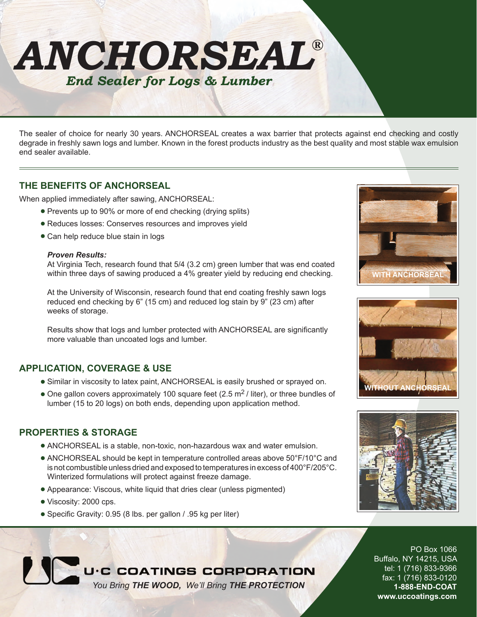

The sealer of choice for nearly 30 years. ANCHORSEAL creates a wax barrier that protects against end checking and costly degrade in freshly sawn logs and lumber. Known in the forest products industry as the best quality and most stable wax emulsion end sealer available.

### **THE BENEFITS OF ANCHORSEAL**

When applied immediately after sawing, ANCHORSEAL:

- Prevents up to 90% or more of end checking (drying splits)
- Reduces losses: Conserves resources and improves yield
- Can help reduce blue stain in logs

#### *Proven Results:*

At Virginia Tech, research found that 5/4 (3.2 cm) green lumber that was end coated within three days of sawing produced a 4% greater yield by reducing end checking.

At the University of Wisconsin, research found that end coating freshly sawn logs reduced end checking by 6" (15 cm) and reduced log stain by 9" (23 cm) after weeks of storage.

Results show that logs and lumber protected with ANCHORSEAL are significantly more valuable than uncoated logs and lumber.

## **APPLICATION, COVERAGE & USE**

- Similar in viscosity to latex paint, ANCHORSEAL is easily brushed or sprayed on.
- $\bullet$  One gallon covers approximately 100 square feet (2.5 m<sup>2</sup>/ liter), or three bundles of lumber (15 to 20 logs) on both ends, depending upon application method.

## **PROPERTIES & STORAGE**

- ANCHORSEAL is a stable, non-toxic, non-hazardous wax and water emulsion.
- ANCHORSEAL should be kept in temperature controlled areas above 50°F/10°C and is not combustible unless dried and exposed to temperatures in excess of 400°F/205°C. Winterized formulations will protect against freeze damage.
- Appearance: Viscous, white liquid that dries clear (unless pigmented)
- Viscosity: 2000 cps.
- Specific Gravity: 0.95 (8 lbs. per gallon / .95 kg per liter)







### PO Box 1066 Buffalo, NY 14215, USA tel: 1 (716) 833-9366 fax: 1 (716) 833-0120 **1-888-END-COAT www.uccoatings.com**

# U.C COATINGS CORPORATION

*You Bring THE WOOD, We'll Bring THE PROTECTION*